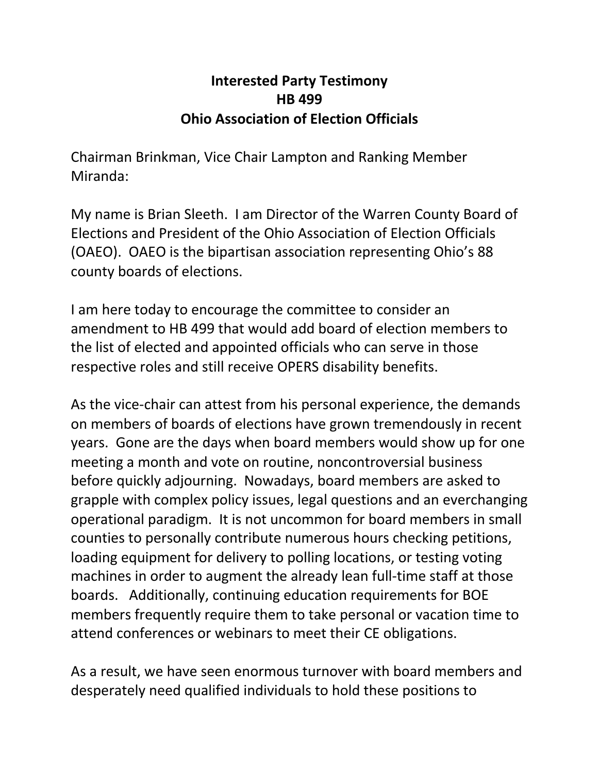## **Interested Party Testimony HB 499 Ohio Association of Election Officials**

Chairman Brinkman, Vice Chair Lampton and Ranking Member Miranda:

My name is Brian Sleeth. I am Director of the Warren County Board of Elections and President of the Ohio Association of Election Officials (OAEO). OAEO is the bipartisan association representing Ohio's 88 county boards of elections.

I am here today to encourage the committee to consider an amendment to HB 499 that would add board of election members to the list of elected and appointed officials who can serve in those respective roles and still receive OPERS disability benefits.

As the vice-chair can attest from his personal experience, the demands on members of boards of elections have grown tremendously in recent years. Gone are the days when board members would show up for one meeting a month and vote on routine, noncontroversial business before quickly adjourning. Nowadays, board members are asked to grapple with complex policy issues, legal questions and an everchanging operational paradigm. It is not uncommon for board members in small counties to personally contribute numerous hours checking petitions, loading equipment for delivery to polling locations, or testing voting machines in order to augment the already lean full-time staff at those boards. Additionally, continuing education requirements for BOE members frequently require them to take personal or vacation time to attend conferences or webinars to meet their CE obligations.

As a result, we have seen enormous turnover with board members and desperately need qualified individuals to hold these positions to